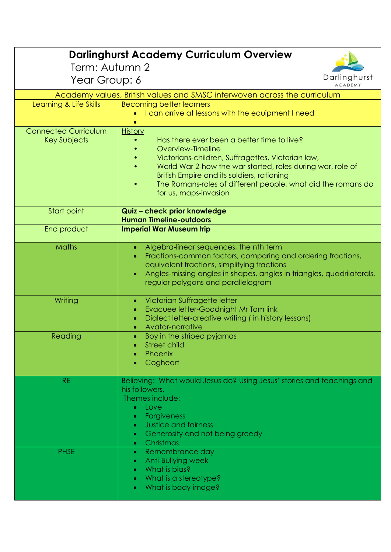| <b>Darlinghurst Academy Curriculum Overview</b> |                                                                                                                      |  |
|-------------------------------------------------|----------------------------------------------------------------------------------------------------------------------|--|
| Term: Autumn 2                                  |                                                                                                                      |  |
| Year Group: 6                                   | Darlinghurst<br><b>ACADEMY</b>                                                                                       |  |
|                                                 | Academy values, British values and SMSC interwoven across the curriculum                                             |  |
| Learning & Life Skills                          | <b>Becoming better learners</b>                                                                                      |  |
|                                                 | I can arrive at lessons with the equipment I need                                                                    |  |
| <b>Connected Curriculum</b>                     | <b>History</b>                                                                                                       |  |
| Key Subjects                                    | Has there ever been a better time to live?                                                                           |  |
|                                                 | Overview-Timeline                                                                                                    |  |
|                                                 | Victorians-children, Suffragettes, Victorian law,<br>World War 2-how the war started, roles during war, role of      |  |
|                                                 | British Empire and its soldiers, rationing                                                                           |  |
|                                                 | The Romans-roles of different people, what did the romans do                                                         |  |
|                                                 | for us, maps-invasion                                                                                                |  |
| Start point                                     | Quiz - check prior knowledge                                                                                         |  |
|                                                 | <b>Human Timeline-outdoors</b>                                                                                       |  |
| End product                                     | <b>Imperial War Museum trip</b>                                                                                      |  |
| Maths                                           | Algebra-linear sequences, the nth term<br>$\bullet$                                                                  |  |
|                                                 | Fractions-common factors, comparing and ordering fractions,                                                          |  |
|                                                 | equivalent fractions, simplifying fractions<br>Angles-missing angles in shapes, angles in triangles, quadrilaterals, |  |
|                                                 | regular polygons and parallelogram                                                                                   |  |
|                                                 |                                                                                                                      |  |
| Writing                                         | Victorian Suffragette letter<br>۰<br>Evacuee letter-Goodnight Mr Tom link                                            |  |
|                                                 | Dialect letter-creative writing (in history lessons)                                                                 |  |
|                                                 | Avatar-narrative                                                                                                     |  |
| Reading                                         | Boy in the striped pyjamas                                                                                           |  |
|                                                 | <b>Street child</b>                                                                                                  |  |
|                                                 | Phoenix<br>۰<br>Cogheart                                                                                             |  |
|                                                 |                                                                                                                      |  |
| <b>RE</b>                                       | Believing: What would Jesus do? Using Jesus' stories and teachings and                                               |  |
|                                                 | his followers.<br>Themes include:                                                                                    |  |
|                                                 | Love<br>$\bullet$                                                                                                    |  |
|                                                 | Forgiveness<br>$\bullet$                                                                                             |  |
|                                                 | <b>Justice and fairness</b><br>$\bullet$                                                                             |  |
|                                                 | Generosity and not being greedy<br>$\bullet$<br>• Christmas                                                          |  |
| <b>PHSE</b>                                     | Remembrance day<br>$\bullet$                                                                                         |  |
|                                                 | Anti-Bullying week<br>$\bullet$                                                                                      |  |
|                                                 | What is bias?<br>$\bullet$                                                                                           |  |
|                                                 | What is a stereotype?<br>$\bullet$                                                                                   |  |
|                                                 | What is body image?<br>$\bullet$                                                                                     |  |